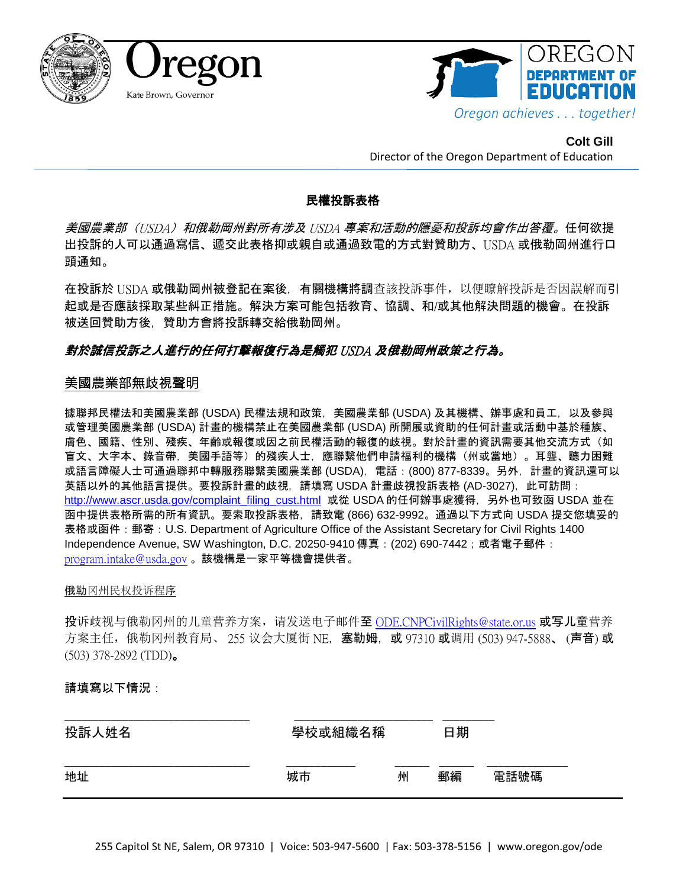



**Colt Gill** Director of the Oregon Department of Education

## 民權投訴表格

美國農業部 (USDA) 和俄勒岡州對所有涉及 USDA 專案和活動的隱憂和投訴均會作出答覆。任何欲提 出投訴的人可以通過寫信、遞交此表格抑或親自或通過致電的方式對贊助方、USDA 或俄勒岡州進行口 頭通知。

在投訴於 USDA 或俄勒岡州被登記在案後,有關機構將調查該投訴事件,以便瞭解投訴是否因誤解而引 起或是否應該採取某些糾正措施。解決方案可能包括教育、協調、和/或其他解決問題的機會。在投訴 被送回贊助方後,贊助方會將投訴轉交給俄勒岡州。

# 對於誠信投訴之人進行的任何打擊報復行為是觸犯 USDA 及俄勒岡州政策之行為。

## 美國農業部無歧視聲明

據聯邦民權法和美國農業部 (USDA) 民權法規和政策, 美國農業部 (USDA) 及其機構、辦事處和員工, 以及參與 或管理美國農業部 (USDA) 計畫的機構禁止在美國農業部 (USDA) 所開展或資助的任何計畫或活動中基於種族、 膚色、國籍、性別、殘疾、年齡或報復或因之前民權活動的報復的歧視。對於計畫的資訊需要其他交流方式(如 盲文、大字本、錄音帶,美國手語等)的殘疾人士,應聯繫他們申請福利的機構(州或當地)。耳聾、聽力困難 或語言障礙人士可通過聯邦中轉服務聯繫美國農業部 (USDA),電話:(800) 877-8339。另外,計畫的資訊還可以 英語以外的其他語言提供。要投訴計畫的歧視,請填寫 USDA 計畫歧視投訴表格 (AD-3027), 此可訪問 : [http://www.ascr.usda.gov/complaint\\_filing\\_cust.html](http://www.ascr.usda.gov/complaint_filing_cust.html) 或從 USDA 的任何辦事處獲得,另外也可致函 USDA 並在 函中提供表格所需的所有資訊。要索取投訴表格,請致電 (866) 632-9992。通過以下方式向 USDA 提交您填妥的 表格或函件: 郵寄: U.S. Department of Agriculture Office of the Assistant Secretary for Civil Rights 1400 Independence Avenue, SW Washington, D.C. 20250-9410 傳真: (202) 690-7442; 或者電子郵件: [program.intake@usda.gov](mailto:program.intake@usda.gov) 。該機構是一家平等機會提供者。

#### 俄勒冈州民权投诉程序

投诉歧视与俄勒冈州的儿童营养方案,请发送电子邮件至 [ODE.CNPCivilRights@state.or.us](mailto:ODE.CNPCivilRights@state.or.us) 或写儿童营养 方案主任,俄勒冈州教育局、 255 议会大厦街 NE. 塞勒姆, 或 97310 或调用 (503) 947-5888、 (声音) 或 (503) 378-2892 (TDD)。

### 請填寫以下情況:

| 投訴人姓名 | 學校或組織名稱 |   | 日期 |      |
|-------|---------|---|----|------|
| 地址    | 城市      | 州 | 郵編 | 電話號碼 |